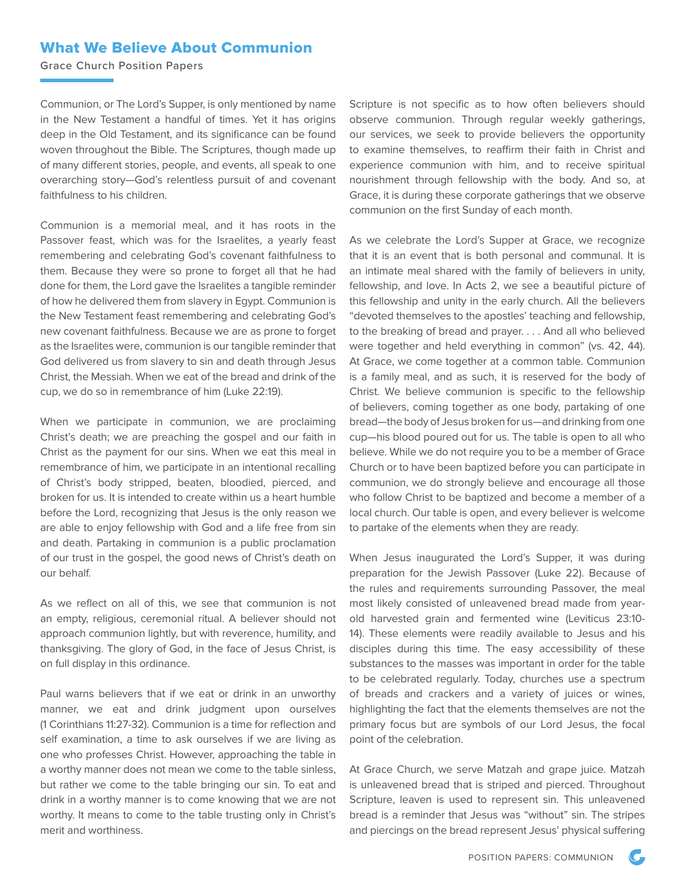## What We Believe About Communion

Grace Church Position Papers

Communion, or The Lord's Supper, is only mentioned by name in the New Testament a handful of times. Yet it has origins deep in the Old Testament, and its significance can be found woven throughout the Bible. The Scriptures, though made up of many different stories, people, and events, all speak to one overarching story—God's relentless pursuit of and covenant faithfulness to his children.

Communion is a memorial meal, and it has roots in the Passover feast, which was for the Israelites, a yearly feast remembering and celebrating God's covenant faithfulness to them. Because they were so prone to forget all that he had done for them, the Lord gave the Israelites a tangible reminder of how he delivered them from slavery in Egypt. Communion is the New Testament feast remembering and celebrating God's new covenant faithfulness. Because we are as prone to forget as the Israelites were, communion is our tangible reminder that God delivered us from slavery to sin and death through Jesus Christ, the Messiah. When we eat of the bread and drink of the cup, we do so in remembrance of him (Luke 22:19).

When we participate in communion, we are proclaiming Christ's death; we are preaching the gospel and our faith in Christ as the payment for our sins. When we eat this meal in remembrance of him, we participate in an intentional recalling of Christ's body stripped, beaten, bloodied, pierced, and broken for us. It is intended to create within us a heart humble before the Lord, recognizing that Jesus is the only reason we are able to enjoy fellowship with God and a life free from sin and death. Partaking in communion is a public proclamation of our trust in the gospel, the good news of Christ's death on our behalf.

As we reflect on all of this, we see that communion is not an empty, religious, ceremonial ritual. A believer should not approach communion lightly, but with reverence, humility, and thanksgiving. The glory of God, in the face of Jesus Christ, is on full display in this ordinance.

Paul warns believers that if we eat or drink in an unworthy manner, we eat and drink judgment upon ourselves (1 Corinthians 11:27-32). Communion is a time for reflection and self examination, a time to ask ourselves if we are living as one who professes Christ. However, approaching the table in a worthy manner does not mean we come to the table sinless, but rather we come to the table bringing our sin. To eat and drink in a worthy manner is to come knowing that we are not worthy. It means to come to the table trusting only in Christ's merit and worthiness.

Scripture is not specific as to how often believers should observe communion. Through regular weekly gatherings, our services, we seek to provide believers the opportunity to examine themselves, to reaffirm their faith in Christ and experience communion with him, and to receive spiritual nourishment through fellowship with the body. And so, at Grace, it is during these corporate gatherings that we observe communion on the first Sunday of each month.

As we celebrate the Lord's Supper at Grace, we recognize that it is an event that is both personal and communal. It is an intimate meal shared with the family of believers in unity, fellowship, and love. In Acts 2, we see a beautiful picture of this fellowship and unity in the early church. All the believers "devoted themselves to the apostles' teaching and fellowship, to the breaking of bread and prayer. . . . And all who believed were together and held everything in common" (vs. 42, 44). At Grace, we come together at a common table. Communion is a family meal, and as such, it is reserved for the body of Christ. We believe communion is specific to the fellowship of believers, coming together as one body, partaking of one bread—the body of Jesus broken for us—and drinking from one cup—his blood poured out for us. The table is open to all who believe. While we do not require you to be a member of Grace Church or to have been baptized before you can participate in communion, we do strongly believe and encourage all those who follow Christ to be baptized and become a member of a local church. Our table is open, and every believer is welcome to partake of the elements when they are ready.

When Jesus inaugurated the Lord's Supper, it was during preparation for the Jewish Passover (Luke 22). Because of the rules and requirements surrounding Passover, the meal most likely consisted of unleavened bread made from yearold harvested grain and fermented wine (Leviticus 23:10- 14). These elements were readily available to Jesus and his disciples during this time. The easy accessibility of these substances to the masses was important in order for the table to be celebrated regularly. Today, churches use a spectrum of breads and crackers and a variety of juices or wines, highlighting the fact that the elements themselves are not the primary focus but are symbols of our Lord Jesus, the focal point of the celebration.

At Grace Church, we serve Matzah and grape juice. Matzah is unleavened bread that is striped and pierced. Throughout Scripture, leaven is used to represent sin. This unleavened bread is a reminder that Jesus was "without" sin. The stripes and piercings on the bread represent Jesus' physical suffering

 $\mathcal{C}$